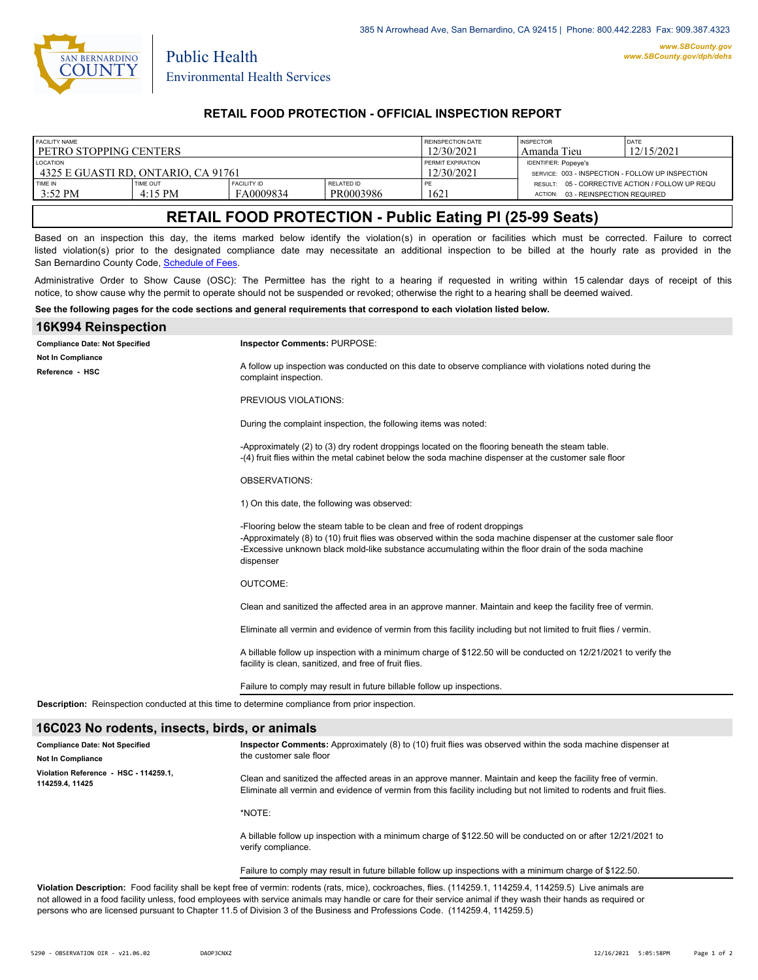

Public Health

## **RETAIL FOOD PROTECTION - OFFICIAL INSPECTION REPORT**

| FACILITY NAME                       |                              |                                 | <b>REINSPECTION DATE</b> | <b>INSPECTOR</b>                                 | <b>DATE</b>                                                                                     |  |
|-------------------------------------|------------------------------|---------------------------------|--------------------------|--------------------------------------------------|-------------------------------------------------------------------------------------------------|--|
| l petro stopping centers            |                              |                                 | 12/30/2021               | Amanda Tieu                                      | 12/15/2021                                                                                      |  |
| <b>LOCATION</b>                     |                              |                                 | <b>PERMIT EXPIRATION</b> | <b>IDENTIFIER: Popeve's</b>                      |                                                                                                 |  |
| 4325 E GUASTI RD. ONTARIO. CA 91761 |                              |                                 | 12/30/2021               | SERVICE: 003 - INSPECTION - FOLLOW UP INSPECTION |                                                                                                 |  |
| TIME IN<br>3:52 PM                  | <b>TIME OUT</b><br>$4:15$ PM | <b>FACILITY ID</b><br>FA0009834 | RELATED ID<br>PR0003986  | PE<br>1621                                       | RESULT: 05 - CORRECTIVE ACTION / FOLLOW UP REQU<br>03 - REINSPECTION REQUIRED<br><b>ACTION:</b> |  |

# **RETAIL FOOD PROTECTION - Public Eating Pl (25-99 Seats)**

Based on an inspection this day, the items marked below identify the violation(s) in operation or facilities which must be corrected. Failure to correct listed violation(s) prior to the designated compliance date may necessitate an additional inspection to be billed at the hourly rate as provided in the San Bernardino County Code, Sc[hedule of Fees.](https://codelibrary.amlegal.com/codes/sanbernardino/latest/sanberncty_ca/0-0-0-122474#JD_16.0213B)

Administrative Order to Show Cause (OSC): The Permittee has the right to a hearing if requested in writing within 15 calendar days of receipt of this notice, to show cause why the permit to operate should not be suspended or revoked; otherwise the right to a hearing shall be deemed waived.

#### **See the following pages for the code sections and general requirements that correspond to each violation listed below.**

| 16K994 Reinspection                                                                             |                                                                                                                                                                                                                                                                                                                   |  |  |
|-------------------------------------------------------------------------------------------------|-------------------------------------------------------------------------------------------------------------------------------------------------------------------------------------------------------------------------------------------------------------------------------------------------------------------|--|--|
| <b>Compliance Date: Not Specified</b>                                                           | Inspector Comments: PURPOSE:                                                                                                                                                                                                                                                                                      |  |  |
| Not In Compliance<br>Reference - HSC                                                            | A follow up inspection was conducted on this date to observe compliance with violations noted during the<br>complaint inspection.                                                                                                                                                                                 |  |  |
|                                                                                                 | PREVIOUS VIOLATIONS:                                                                                                                                                                                                                                                                                              |  |  |
|                                                                                                 | During the complaint inspection, the following items was noted:                                                                                                                                                                                                                                                   |  |  |
|                                                                                                 | -Approximately (2) to (3) dry rodent droppings located on the flooring beneath the steam table.<br>-(4) fruit flies within the metal cabinet below the soda machine dispenser at the customer sale floor                                                                                                          |  |  |
|                                                                                                 | <b>OBSERVATIONS:</b>                                                                                                                                                                                                                                                                                              |  |  |
|                                                                                                 | 1) On this date, the following was observed:                                                                                                                                                                                                                                                                      |  |  |
|                                                                                                 | -Flooring below the steam table to be clean and free of rodent droppings<br>-Approximately (8) to (10) fruit flies was observed within the soda machine dispenser at the customer sale floor<br>-Excessive unknown black mold-like substance accumulating within the floor drain of the soda machine<br>dispenser |  |  |
|                                                                                                 | <b>OUTCOME:</b>                                                                                                                                                                                                                                                                                                   |  |  |
|                                                                                                 | Clean and sanitized the affected area in an approve manner. Maintain and keep the facility free of vermin.                                                                                                                                                                                                        |  |  |
|                                                                                                 | Eliminate all vermin and evidence of vermin from this facility including but not limited to fruit flies / vermin.                                                                                                                                                                                                 |  |  |
|                                                                                                 | A billable follow up inspection with a minimum charge of \$122.50 will be conducted on 12/21/2021 to verify the<br>facility is clean, sanitized, and free of fruit flies.                                                                                                                                         |  |  |
|                                                                                                 | Failure to comply may result in future billable follow up inspections.                                                                                                                                                                                                                                            |  |  |
| Description: Reinspection conducted at this time to determine compliance from prior inspection. |                                                                                                                                                                                                                                                                                                                   |  |  |
| 16C023 No rodents, insects, birds, or animals                                                   |                                                                                                                                                                                                                                                                                                                   |  |  |

| <b>Compliance Date: Not Specified</b><br><b>Not In Compliance</b> | Inspector Comments: Approximately (8) to (10) fruit flies was observed within the soda machine dispenser at<br>the customer sale floor                                                                                              |  |
|-------------------------------------------------------------------|-------------------------------------------------------------------------------------------------------------------------------------------------------------------------------------------------------------------------------------|--|
| Violation Reference - HSC - 114259.1.<br>114259.4.11425           | Clean and sanitized the affected areas in an approve manner. Maintain and keep the facility free of vermin.<br>Eliminate all vermin and evidence of vermin from this facility including but not limited to rodents and fruit flies. |  |
|                                                                   | *NOTE:                                                                                                                                                                                                                              |  |
|                                                                   | A billable follow up inspection with a minimum charge of \$122.50 will be conducted on or after 12/21/2021 to<br>verify compliance.                                                                                                 |  |
|                                                                   | Failure to comply may result in future billable follow up inspections with a minimum charge of \$122.50.                                                                                                                            |  |

**Violation Description:** Food facility shall be kept free of vermin: rodents (rats, mice), cockroaches, flies. (114259.1, 114259.4, 114259.5) Live animals are not allowed in a food facility unless, food employees with service animals may handle or care for their service animal if they wash their hands as required or persons who are licensed pursuant to Chapter 11.5 of Division 3 of the Business and Professions Code. (114259.4, 114259.5)